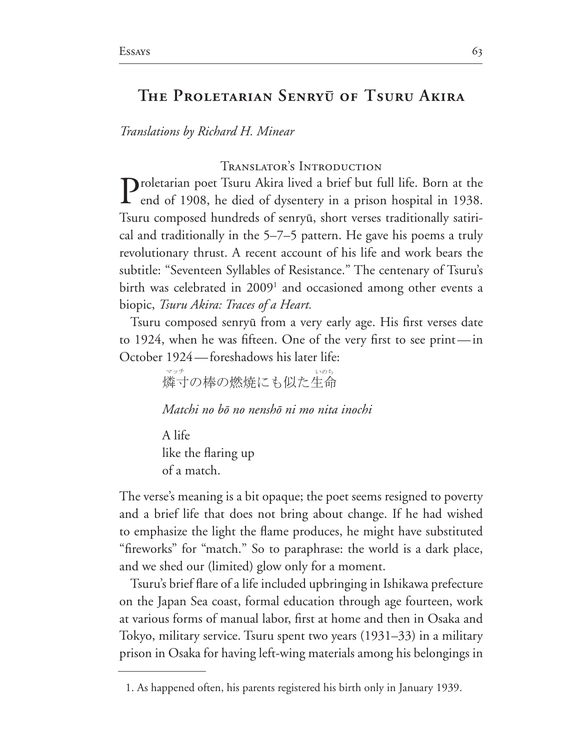# The Proletarian Senryū of Tsuru Akira

*Translations by Richard H. Minear*

Translator's Introduction

**Proletarian poet Tsuru Akira lived a brief but full life. Born at the L** end of 1908, he died of dysentery in a prison hospital in 1938. Tsuru composed hundreds of senryû, short verses traditionally satiri cal and traditionally in the  $5-7-5$  pattern. He gave his poems a truly revolutionary thrust. A recent account of his life and work bears the subtitle: "Seventeen Syllables of Resistance." The centenary of Tsuru's birth was celebrated in 2009<sup>1</sup> and occasioned among other events a biopic, *Tsuru Akira: Traces of a Heart.*

Tsuru composed senryû from a very early age. His first verses date to 1924, when he was fifteen. One of the very first to see print—in October 1924 - foreshadows his later life:

> 燐寸の棒の燃焼にも似た生命 マッチ しゅうしゅう しゅうしゅう いのち

*Matchi no b*ô *no nensh*ô *ni mo nita inochi*

A life like the flaring up of a match.

The verse's meaning is a bit opaque; the poet seems resigned to poverty and a brief life that does not bring about change. If he had wished to emphasize the light the flame produces, he might have substituted "fireworks" for "match." So to paraphrase: the world is a dark place, and we shed our (limited) glow only for a moment.

Tsuru's brief flare of a life included upbringing in Ishikawa prefecture on the Japan Sea coast, formal education through age fourteen, work at various forms of manual labor, first at home and then in Osaka and Tokyo, military service. Tsuru spent two years  $(1931–33)$  in a military prison in Osaka for having left-wing materials among his belongings in

<sup>1.</sup> As happened often, his parents registered his birth only in January 1939.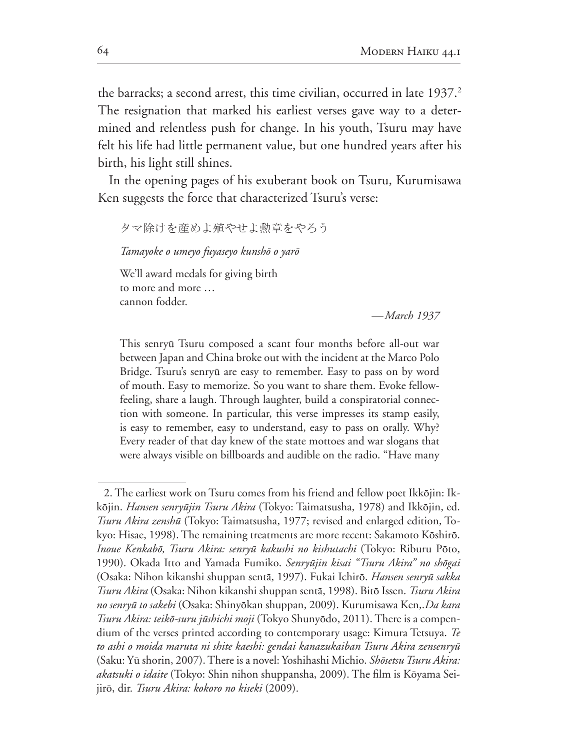the barracks; a second arrest, this time civilian, occurred in late 1937.<sup>2</sup> The resignation that marked his earliest verses gave way to a deter mined and relentless push for change. In his youth, Tsuru may have felt his life had little permanent value, but one hundred years after his birth, his light still shines.

In the opening pages of his exuberant book on Tsuru, Kurumisawa Ken suggests the force that characterized Tsuru's verse:

タマ除けを産めよ殖やせよ勲章をやろう

*Tamayoke o umeyo fuyaseyo kunsh*ô *o yar*ô

We'll award medals for giving birth to more and more … cannon fodder.

*—March 1937*

This senryū Tsuru composed a scant four months before all-out war between Japan and China broke out with the incident at the Marco Polo Bridge. Tsuru's senryû are easy to remember. Easy to pass on by word of mouth. Easy to memorize. So you want to share them. Evoke fellowfeeling, share a laugh. Through laughter, build a conspiratorial connec tion with someone. In particular, this verse impresses its stamp easily, is easy to remember, easy to understand, easy to pass on orally. Why? Every reader of that day knew of the state mottoes and war slogans that were always visible on billboards and audible on the radio. "Have many

<sup>2.</sup> The earliest work on Tsuru comes from his friend and fellow poet Ikkōjin: Ikkōjin. *Hansen senryūjin Tsuru Akira* (Tokyo: Taimatsusha, 1978) and Ikkōjin, ed. *Tsuru Akira zenshū* (Tokyo: Taimatsusha, 1977; revised and enlarged edition, Tokyo: Hisae, 1998). The remaining treatments are more recent: Sakamoto Kōshirō. *Inoue Kenkab*ô*, Tsuru Akira: senry*û *kakushi no kishutachi* (Tokyo: Riburu Pôto, 1990). Okada Itto and Yamada Fumiko. Senryūjin kisai "Tsuru Akira" no shōgai (Osaka: Nihon kikanshi shuppan sentā, 1997). Fukai Ichirō. *Hansen senryū sakka Tsuru Akira* (Osaka: Nihon kikanshi shuppan sentā, 1998). Bitō Issen. *Tsuru Akira no senryū to sakebi* (Osaka: Shinyōkan shuppan, 2009). Kurumisawa Ken,.*Da kara Tsuru Akira: teikō-suru jūshichi moji* (Tokyo Shunyōdo, 2011). There is a compendium of the verses printed according to contemporary usage: Kimura Tetsuya. Te *to ashi o moida maruta ni shite kaeshi: gendai kanazukaiban Tsuru Akira zensenry*û (Saku: Yū shorin, 2007). There is a novel: Yoshihashi Michio. *Shōsetsu Tsuru Akira:* akatsuki o idaite (Tokyo: Shin nihon shuppansha, 2009). The film is Kōyama Seijirô, dir. *Tsuru Akira: kokoro no kiseki*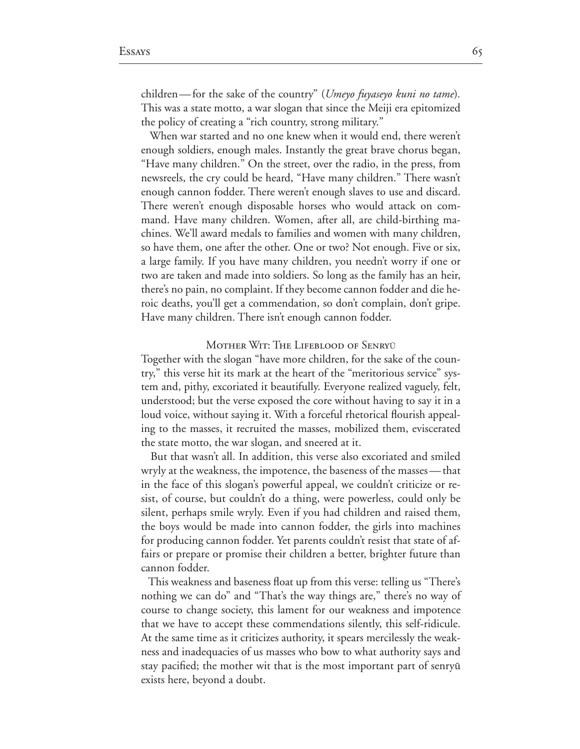children—for the sake of the country" *(Umeyo fuyaseyo kuni no tame)*. This was a state motto, a war slogan that since the Meiji era epitomized the policy of creating a "rich country, strong military."

 When war started and no one knew when it would end, there weren't enough soldiers, enough males. Instantly the great brave chorus began, "Have many children." On the street, over the radio, in the press, from newsreels, the cry could be heard, "Have many children." There wasn't enough cannon fodder. There weren't enough slaves to use and discard. There weren't enough disposable horses who would attack on com mand. Have many children. Women, after all, are child-birthing machines. We'll award medals to families and women with many children, so have them, one after the other. One or two? Not enough. Five or six, a large family. If you have many children, you needn't worry if one or two are taken and made into soldiers. So long as the family has an heir, there's no pain, no complaint. If they become cannon fodder and die heroic deaths, you'll get a commendation, so don't complain, don't gripe. Have many children. There isn't enough cannon fodder.

#### Mother Wit: The Lifeblood of Senry<sup>Û</sup>

Together with the slogan "have more children, for the sake of the coun try," this verse hit its mark at the heart of the "meritorious service" system and, pithy, excoriated it beautifully. Everyone realized vaguely, felt, understood; but the verse exposed the core without having to say it in a loud voice, without saying it. With a forceful rhetorical flourish appeal ing to the masses, it recruited the masses, mobilized them, eviscerated the state motto, the war slogan, and sneered at it.

But that wasn't all. In addition, this verse also excoriated and smiled wryly at the weakness, the impotence, the baseness of the masses—that in the face of this slogan's powerful appeal, we couldn't criticize or re sist, of course, but couldn't do a thing, were powerless, could only be silent, perhaps smile wryly. Even if you had children and raised them, the boys would be made into cannon fodder, the girls into machines for producing cannon fodder. Yet parents couldn't resist that state of affairs or prepare or promise their children a better, brighter future than cannon fodder.

 This weakness and baseness float up from this verse: telling us "There's nothing we can do" and "That's the way things are," there's no way of course to change society, this lament for our weakness and impotence that we have to accept these commendations silently, this self-ridicule. At the same time as it criticizes authority, it spears mercilessly the weak ness and inadequacies of us masses who bow to what authority says and stay pacified; the mother wit that is the most important part of senryū exists here, beyond a doubt.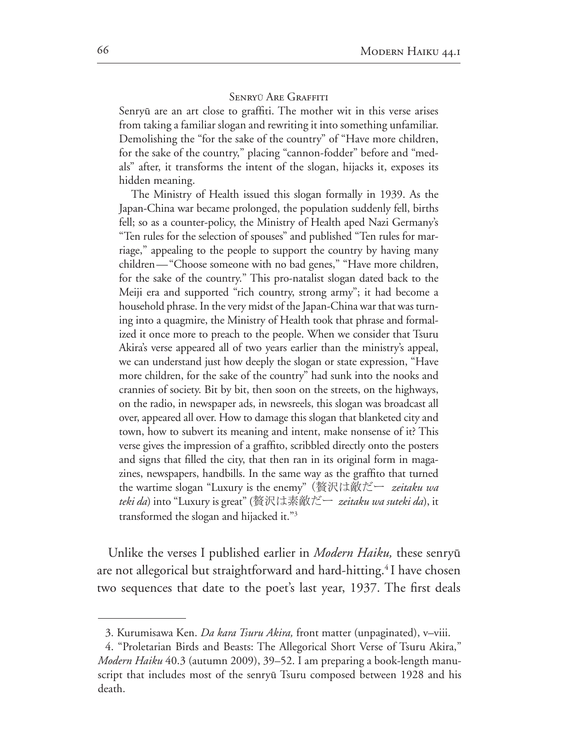#### SENRYŪ ARE GRAFFITI

Senryū are an art close to graffiti. The mother wit in this verse arises from taking a familiar slogan and rewriting it into something unfamiliar. Demolishing the "for the sake of the country" of "Have more children, for the sake of the country," placing "cannon-fodder" before and "medals" after, it transforms the intent of the slogan, hijacks it, exposes its hidden meaning.

The Ministry of Health issued this slogan formally in 1939. As the Japan-China war became prolonged, the population suddenly fell, births fell; so as a counter-policy, the Ministry of Health aped Nazi Germany's "Ten rules for the selection of spouses" and published "Ten rules for marriage," appealing to the people to support the country by having many children—"Choose someone with no bad genes," "Have more children, for the sake of the country." This pro-natalist slogan dated back to the Meiji era and supported "rich country, strong army"; it had become a household phrase. In the very midst of the Japan-China war that was turning into a quagmire, the Ministry of Health took that phrase and formal ized it once more to preach to the people. When we consider that Tsuru Akira's verse appeared all of two years earlier than the ministry's appeal, we can understand just how deeply the slogan or state expression, "Have more children, for the sake of the country" had sunk into the nooks and crannies of society. Bit by bit, then soon on the streets, on the highways, on the radio, in newspaper ads, in newsreels, this slogan was broadcast all over, appeared all over. How to damage this slogan that blanketed city and town, how to subvert its meaning and intent, make nonsense of it? This verse gives the impression of a graffito, scribbled directly onto the posters and signs that filled the city, that then ran in its original form in magazines, newspapers, handbills. In the same way as the graffito that turned the wartime slogan "Luxury is the enemy" (贅沢は敵だー *zeitaku wa teki da*) into "Luxury is great" (贅沢は素敵だー *zeitaku wa suteki da*), it transformed the slogan and hijacked it."<sup>3</sup>

Unlike the verses I published earlier in *Modern Haiku*, these senryū are not allegorical but straightforward and hard-hitting.<sup>4</sup> I have chosen two sequences that date to the poet's last year, 1937. The first deals

<sup>3.</sup> Kurumisawa Ken. *Da kara Tsuru Akira*, front matter (unpaginated), v–viii.

<sup>4. &</sup>quot;Proletarian Birds and Beasts: The Allegorical Short Verse of Tsuru Akira," *Modern Haiku* 40.3 (autumn 2009), 39–52. I am preparing a book-length manuscript that includes most of the senryū Tsuru composed between 1928 and his death.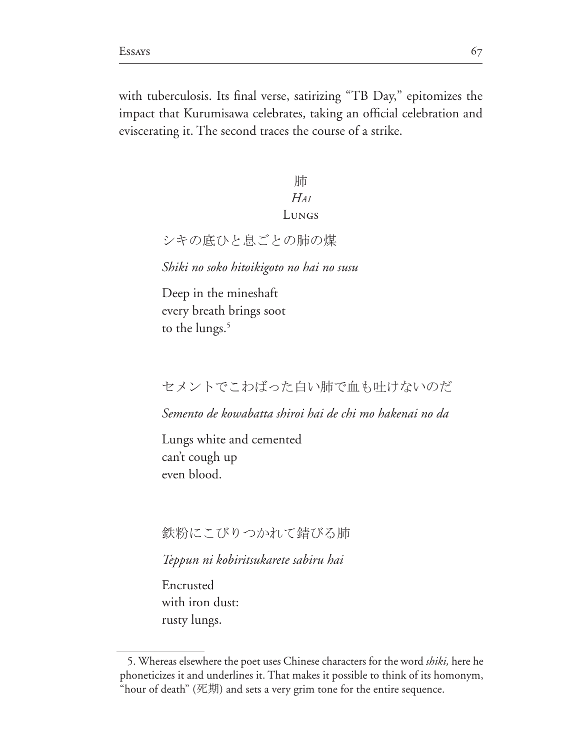with tuberculosis. Its final verse, satirizing "TB Day," epitomizes the impact that Kurumisawa celebrates, taking an official celebration and eviscerating it. The second traces the course of a strike.

# 肺  $H_{AI}$ LUNGS

シキの底ひと息ごとの肺の煤

Shiki no soko hitoikigoto no hai no susu

Deep in the mineshaft every breath brings soot to the lungs.<sup>5</sup>

### セメントでこわばった白い肺で血も叶けないのだ

Semento de kowabatta shiroi hai de chi mo hakenai no da

Lungs white and cemented can't cough up even blood.

#### 鉄粉にこびりつかれて錆びる肺

Teppun ni kobiritsukarete sabiru hai

Encrusted with iron dust: rusty lungs.

<sup>5.</sup> Whereas elsewhere the poet uses Chinese characters for the word *shiki*, here he phoneticizes it and underlines it. That makes it possible to think of its homonym, "hour of death" (死期) and sets a very grim tone for the entire sequence.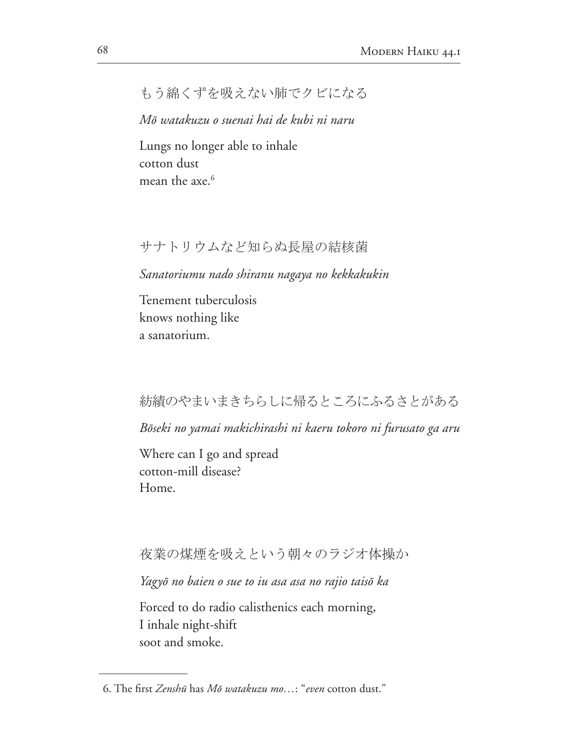# もう綿くずを吸えない肺でクビになる

Mō watakuzu o suenai hai de kubi ni naru

Lungs no longer able to inhale cotton dust mean the axe.<sup>6</sup>

#### サナトリウムなど知らぬ長屋の結核菌

Sanatoriumu nado shiranu nagaya no kekkakukin

Tenement tuberculosis knows nothing like a sanatorium.

#### 紡績のやまいまきちらしに帰るところにふるさとがある

Bōseki no yamai makichirashi ni kaeru tokoro ni furusato ga aru

Where can I go and spread cotton-mill disease? Home.

#### 夜業の煤煙を吸えという朝々のラジオ体操か

Yagyō no baien o sue to iu asa asa no rajio taisō ka

Forced to do radio calisthenics each morning, I inhale night-shift soot and smoke.

<sup>6.</sup> The first Zenshū has Mō watakuzu mo...; "even cotton dust."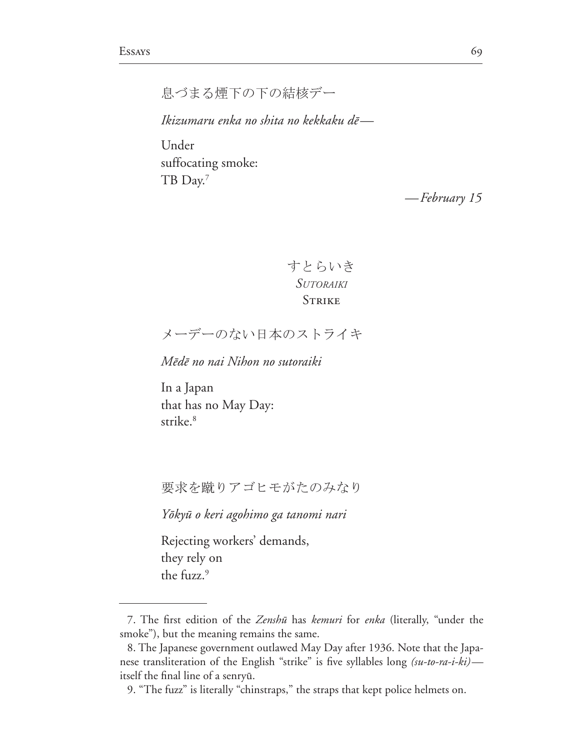息づまる煙下の下の結核デー

Ikizumaru enka no shita no kekkaku dē—

Under suffocating smoke: TB Day.<sup>7</sup>

-February 15

すとらいき **SUTORAIKI STRIKE** 

メーデーのない日本のストライキ

Mēdē no nai Nihon no sutoraiki

In a Japan that has no May Day: strike $.^8$ 

要求を蹴りアゴヒモがたのみなり

Yōkyū o keri agohimo ga tanomi nari

Rejecting workers' demands, they rely on the fuzz.<sup>9</sup>

<sup>7.</sup> The first edition of the Zenshū has kemuri for enka (literally, "under the smoke"), but the meaning remains the same.

<sup>8.</sup> The Japanese government outlawed May Day after 1936. Note that the Japanese transliteration of the English "strike" is five syllables long (su-to-ra-i-ki)itself the final line of a senryū.

<sup>9. &</sup>quot;The fuzz" is literally "chinstraps," the straps that kept police helmets on.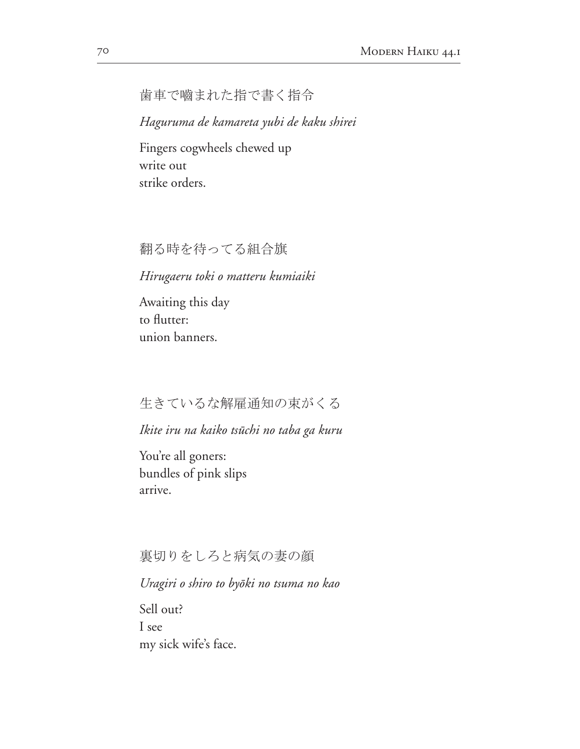歯車で嚙まれた指で書く指令

Haguruma de kamareta yubi de kaku shirei

Fingers cogwheels chewed up write out strike orders.

翻る時を待ってる組合旗

#### Hirugaeru toki o matteru kumiaiki

Awaiting this day to flutter: union banners.

### 生きているな解雇通知の束がくる

#### Ikite iru na kaiko tsūchi no taba ga kuru

You're all goners: bundles of pink slips arrive.

裏切りをしろと病気の妻の顔

Uragiri o shiro to byōki no tsuma no kao

Sell out? I see my sick wife's face.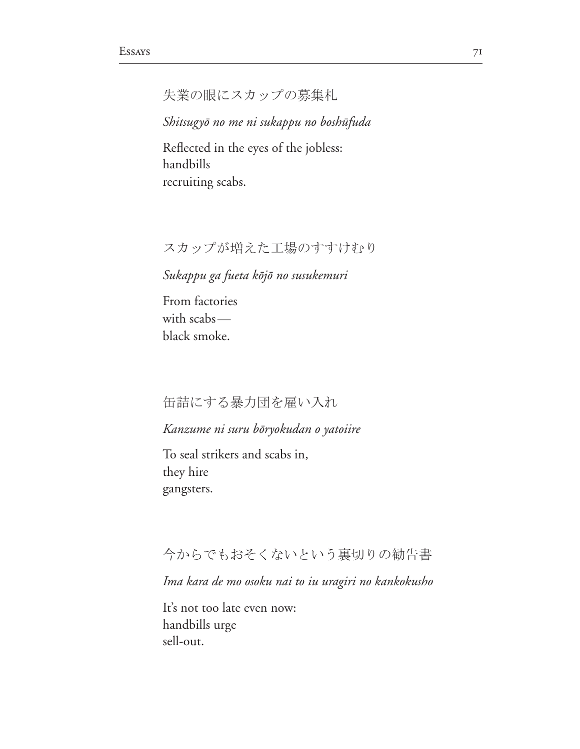```
失業の眼にスカップの募集札
```
*Shitsugy*ô *no me ni sukappu no bosh*û*fuda*

Reflected in the eyes of the jobless: handbills recruiting scabs.

#### スカップが増えた工場のすすけむり

*Sukappu ga fueta k*ô*j*ô *no susukemuri*

From factories with scabs black smoke.

缶詰にする暴力団を雇い入れ

*Kanzume ni suru b*ô*ryokudan o yatoiire*

To seal strikers and scabs in, they hire gangsters.

### 今からでもおそくないという裏切りの勧告書

*Ima kara de mo osoku nai to iu uragiri no kankokusho*

It's not too late even now: handbills urge sell-out.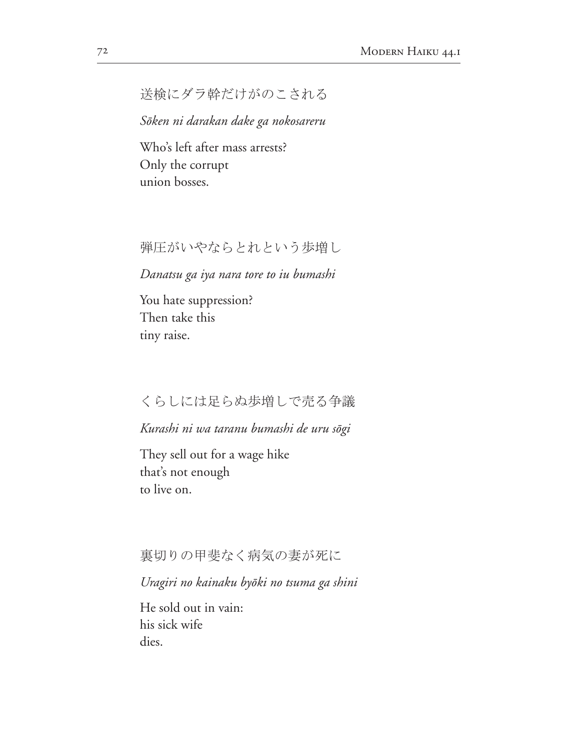# 送検にダラ幹だけがのこされる

*S*ô*ken ni darakan dake ga nokosareru*

Who's left after mass arrests? Only the corrupt union bosses.

弾圧がいやならとれという歩増し

*Danatsu ga iya nara tore to iu bumashi*

You hate suppression? Then take this tiny raise.

#### くらしには足らぬ歩増しで売る争議

*Kurashi ni wa taranu bumashi de uru s*ô*gi*

They sell out for a wage hike that's not enough to live on.

裏切りの甲斐なく病気の妻が死に

*Uragiri no kainaku by*ô*ki no tsuma ga shini*

He sold out in vain: his sick wife dies.